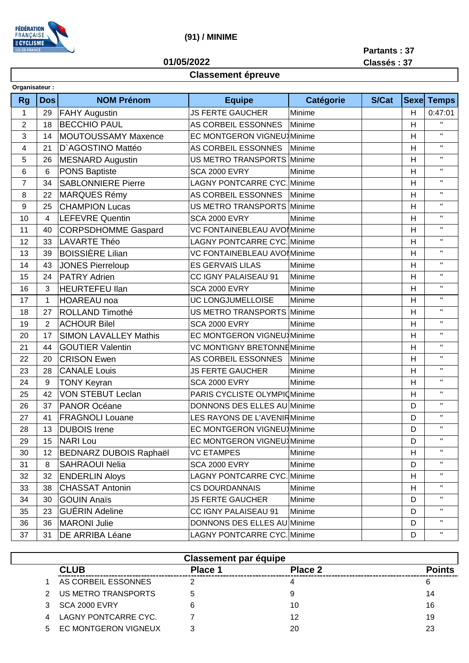

## (91) / MINIME

01/05/2022

Partants: 37 Classés: 37

## **Classement épreuve**

| Organisateur : |                |                               |                                      |           |              |                |                    |
|----------------|----------------|-------------------------------|--------------------------------------|-----------|--------------|----------------|--------------------|
| <b>Rg</b>      | <b>Dos</b>     | <b>NOM Prénom</b>             | <b>Equipe</b>                        | Catégorie | <b>S/Cat</b> | <b>Sexe</b>    | <b>Temps</b>       |
| 1              | 29             | <b>FAHY Augustin</b>          | <b>JS FERTE GAUCHER</b><br>Minime    |           |              | H              | 0:47:01            |
| $\overline{2}$ | 18             | <b>BECCHIO PAUL</b>           | AS CORBEIL ESSONNES<br>Minime        |           |              | H              | $\mathbf{H}$       |
| 3              | 14             | <b>MOUTOUSSAMY Maxence</b>    | <b>EC MONTGERON VIGNEU</b> Minime    |           |              | H              | $\mathbf H$        |
| 4              | 21             | D'AGOSTINO Mattéo             | AS CORBEIL ESSONNES                  | Minime    |              | H              | $\mathbf H$        |
| 5              | 26             | <b>MESNARD Augustin</b>       | <b>US METRO TRANSPORTS</b>           | Minime    |              | H              | $\mathbf H$        |
| 6              | 6              | <b>PONS Baptiste</b>          | <b>SCA 2000 EVRY</b><br>Minime       |           |              | H              | $\mathbf H$        |
| $\overline{7}$ | 34             | <b>SABLONNIERE Pierre</b>     | <b>LAGNY PONTCARRE CYC. Minime</b>   |           |              | H              | $\mathbf H$        |
| 8              | 22             | <b>MARQUES Rémy</b>           | AS CORBEIL ESSONNES<br>Minime        |           |              | H              | $\mathbf H$        |
| 9              | 25             | <b>CHAMPION Lucas</b>         | <b>US METRO TRANSPORTS</b><br>Minime |           |              | H              | $\mathbf{H}$       |
| 10             | 4              | <b>LEFEVRE Quentin</b>        | <b>SCA 2000 EVRY</b><br>Minime       |           |              | H              | $\mathbf{H}$       |
| 11             | 40             | <b>CORPSDHOMME Gaspard</b>    | VC FONTAINEBLEAU AVOI Minime         |           |              | H              | $\mathbf{H}$       |
| 12             | 33             | <b>LAVARTE Théo</b>           | <b>LAGNY PONTCARRE CYC. Minime</b>   |           |              | H              | $\mathbf H$        |
| 13             | 39             | <b>BOISSIÈRE Lilian</b>       | VC FONTAINEBLEAU AVOI Minime         |           |              | H              | $\mathbf{H}$       |
| 14             | 43             | <b>JONES Pierreloup</b>       | <b>ES GERVAIS LILAS</b>              | Minime    |              | H              | $\mathbf{H}$       |
| 15             | 24             | <b>PATRY Adrien</b>           | CC IGNY PALAISEAU 91                 | Minime    |              | $\overline{H}$ | $\mathbf{H}$       |
| 16             | 3              | <b>HEURTEFEU llan</b>         | <b>SCA 2000 EVRY</b>                 | Minime    |              | H              | $\mathbf{H}$       |
| 17             | $\mathbf{1}$   | <b>HOAREAU</b> noa            | UC LONGJUMELLOISE                    | Minime    |              | H              | $\mathbf{H}$       |
| 18             | 27             | ROLLAND Timothé               | US METRO TRANSPORTS                  | Minime    |              | H              | $\mathbf H$        |
| 19             | $\overline{2}$ | <b>ACHOUR Bilel</b>           | <b>SCA 2000 EVRY</b>                 | Minime    |              | H              | $\mathbf{H}$       |
| 20             | 17             | <b>SIMON LAVALLEY Mathis</b>  | EC MONTGERON VIGNEU Minime           |           |              | H              | $\mathbf H$        |
| 21             | 44             | <b>GOUTIER Valentin</b>       | <b>VC MONTIGNY BRETONNEMinime</b>    |           | H            | $\mathbf H$    |                    |
| 22             | 20             | <b>CRISON Ewen</b>            | AS CORBEIL ESSONNES                  | Minime    |              | H              | $\mathbf{H}$       |
| 23             | 28             | <b>CANALE Louis</b>           | <b>JS FERTE GAUCHER</b><br>Minime    |           |              | $\mathsf{H}$   | $\mathbf H$        |
| 24             | 9              | <b>TONY Keyran</b>            | <b>SCA 2000 EVRY</b><br>Minime       |           |              | H              | $\mathbf H$        |
| 25             | 42             | <b>VON STEBUT Leclan</b>      | PARIS CYCLISTE OLYMPIO Minime        |           |              | H              | $\mathbf H$        |
| 26             | 37             | PANOR Océane                  | DONNONS DES ELLES AU Minime          |           |              | D              | $\mathbf H$        |
| 27             | 41             | <b>FRAGNOLI Louane</b>        | LES RAYONS DE L'AVENIRMinime         |           |              | D              | $\mathbf H$        |
| 28             | 13             | <b>DUBOIS</b> Irene           | EC MONTGERON VIGNEU Minime           |           |              | D              | $\mathbf{H}$       |
| 29             |                | 15 NARI Lou                   | EC MONTGERON VIGNEU Minime           |           |              | D              | $\mathbf{H}$       |
| 30             | 12             | <b>BEDNARZ DUBOIS Raphaël</b> | <b>VC ETAMPES</b>                    | Minime    |              | H              | $\mathbf H$        |
| 31             | 8              | <b>SAHRAOUI Nelia</b>         | <b>SCA 2000 EVRY</b>                 | Minime    |              | D              | Η.                 |
| 32             | 32             | <b>ENDERLIN Aloys</b>         | <b>LAGNY PONTCARRE CYC. Minime</b>   |           |              | H              | $\mathbf H$        |
| 33             | 38             | <b>CHASSAT Antonin</b>        | <b>CS DOURDANNAIS</b>                | Minime    |              | H              | Η.                 |
| 34             | 30             | <b>GOUIN Anaïs</b>            | <b>JS FERTE GAUCHER</b><br>Minime    |           |              | D              | $\mathbf H$        |
| 35             | 23             | <b>GUÉRIN Adeline</b>         | CC IGNY PALAISEAU 91                 | Minime    |              | D              | Η.                 |
| 36             | 36             | <b>MARONI Julie</b>           | DONNONS DES ELLES AU Minime          |           |              | D              | $\mathbf H$        |
| 37             | 31             | DE ARRIBA Léane               | <b>LAGNY PONTCARRE CYC. Minime</b>   |           |              | D              | $\mathbf{H}_\perp$ |

| <b>Classement par équipe</b> |                             |                |         |               |  |  |  |  |
|------------------------------|-----------------------------|----------------|---------|---------------|--|--|--|--|
|                              | <b>CLUB</b>                 | <b>Place 1</b> | Place 2 | <b>Points</b> |  |  |  |  |
|                              | AS CORBEIL ESSONNES         |                |         | 6             |  |  |  |  |
|                              | 2 US METRO TRANSPORTS       |                | 9       | 14            |  |  |  |  |
| 3                            | SCA 2000 EVRY               | 6              | 10      | 16            |  |  |  |  |
|                              | 4 LAGNY PONTCARRE CYC.      |                | 12      | 19            |  |  |  |  |
| 5.                           | <b>EC MONTGERON VIGNEUX</b> | າ              | 20      | 23            |  |  |  |  |